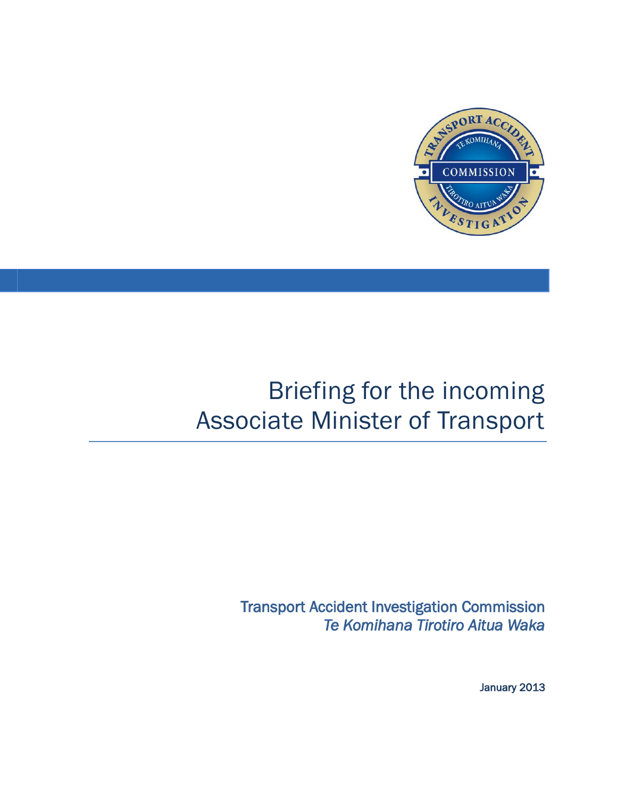

# Briefing for the incoming Associate Minister of Transport

Transport Accident Investigation Commission *Te Komihana Tirotiro Aitua Waka* 

January 2013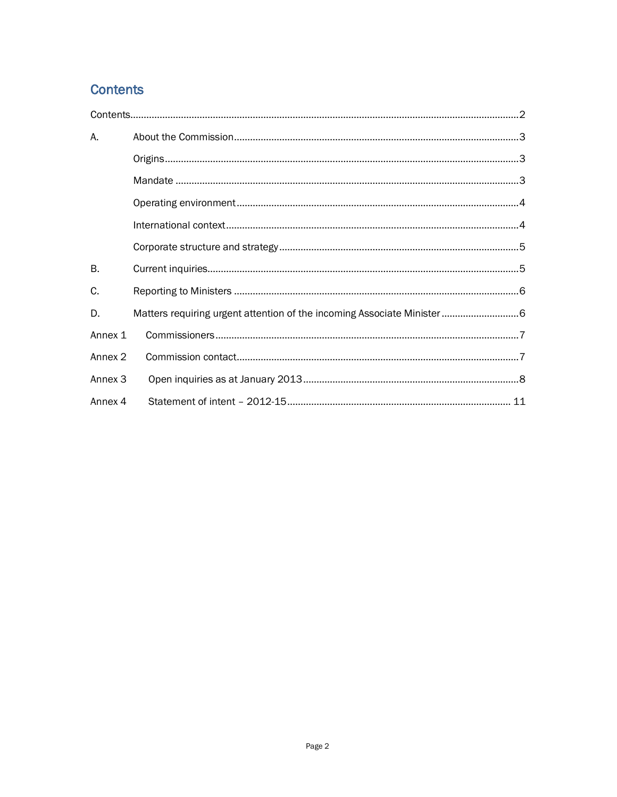## <span id="page-1-0"></span>**Contents**

| А.                 |                                                                         |  |
|--------------------|-------------------------------------------------------------------------|--|
|                    |                                                                         |  |
|                    |                                                                         |  |
|                    |                                                                         |  |
|                    |                                                                         |  |
|                    |                                                                         |  |
| B.                 |                                                                         |  |
| C.                 |                                                                         |  |
| D.                 | Matters requiring urgent attention of the incoming Associate Minister 6 |  |
| Annex 1            |                                                                         |  |
| Annex <sub>2</sub> |                                                                         |  |
| Annex <sub>3</sub> |                                                                         |  |
| Annex 4            |                                                                         |  |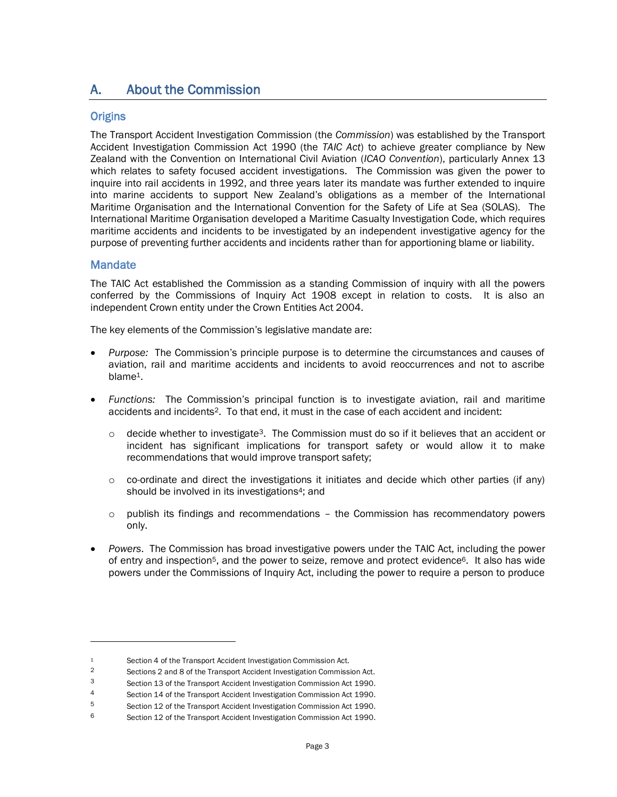## <span id="page-2-0"></span>A. About the Commission

#### <span id="page-2-1"></span>**Origins**

The Transport Accident Investigation Commission (the *Commission*) was established by the Transport Accident Investigation Commission Act 1990 (the *TAIC Act*) to achieve greater compliance by New Zealand with the Convention on International Civil Aviation (*ICAO Convention*), particularly Annex 13 which relates to safety focused accident investigations. The Commission was given the power to inquire into rail accidents in 1992, and three years later its mandate was further extended to inquire into marine accidents to support New Zealand's obligations as a member of the International Maritime Organisation and the International Convention for the Safety of Life at Sea (SOLAS). The International Maritime Organisation developed a Maritime Casualty Investigation Code, which requires maritime accidents and incidents to be investigated by an independent investigative agency for the purpose of preventing further accidents and incidents rather than for apportioning blame or liability.

#### <span id="page-2-2"></span>**Mandate**

 $\overline{a}$ 

The TAIC Act established the Commission as a standing Commission of inquiry with all the powers conferred by the Commissions of Inquiry Act 1908 except in relation to costs. It is also an independent Crown entity under the Crown Entities Act 2004.

The key elements of the Commission's legislative mandate are:

- *Purpose:* The Commission's principle purpose is to determine the circumstances and causes of aviation, rail and maritime accidents and incidents to avoid reoccurrences and not to ascribe blame1.
- *Functions:* The Commission's principal function is to investigate aviation, rail and maritime accidents and incidents2. To that end, it must in the case of each accident and incident:
	- $\circ$  decide whether to investigate<sup>3</sup>. The Commission must do so if it believes that an accident or incident has significant implications for transport safety or would allow it to make recommendations that would improve transport safety;
	- $\circ$  co-ordinate and direct the investigations it initiates and decide which other parties (if any) should be involved in its investigations<sup>4</sup>; and
	- $\circ$  publish its findings and recommendations the Commission has recommendatory powers only.
- *Powers*. The Commission has broad investigative powers under the TAIC Act, including the power of entry and inspection<sup>5</sup>, and the power to seize, remove and protect evidence<sup>6</sup>. It also has wide powers under the Commissions of Inquiry Act, including the power to require a person to produce

<sup>1</sup> Section 4 of the Transport Accident Investigation Commission Act.<br>2 Sections 2 and 8 of the Transport Accident Investigation Commiss

<sup>2</sup> Sections 2 and 8 of the Transport Accident Investigation Commission Act.

<sup>3</sup> Section 13 of the Transport Accident Investigation Commission Act 1990.

<sup>4</sup> Section 14 of the Transport Accident Investigation Commission Act 1990.

<sup>5</sup> Section 12 of the Transport Accident Investigation Commission Act 1990.

<sup>6</sup> Section 12 of the Transport Accident Investigation Commission Act 1990.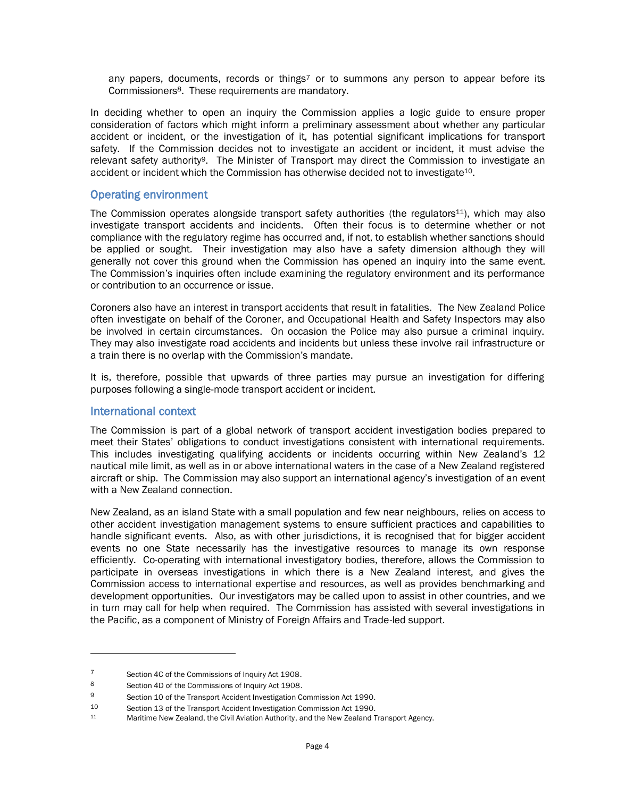any papers, documents, records or things<sup>7</sup> or to summons any person to appear before its Commissioners8. These requirements are mandatory.

In deciding whether to open an inquiry the Commission applies a logic guide to ensure proper consideration of factors which might inform a preliminary assessment about whether any particular accident or incident, or the investigation of it, has potential significant implications for transport safety. If the Commission decides not to investigate an accident or incident, it must advise the relevant safety authority<sup>9</sup>. The Minister of Transport may direct the Commission to investigate an accident or incident which the Commission has otherwise decided not to investigate<sup>10</sup>.

#### <span id="page-3-0"></span>Operating environment

The Commission operates alongside transport safety authorities (the regulators<sup>11</sup>), which may also investigate transport accidents and incidents. Often their focus is to determine whether or not compliance with the regulatory regime has occurred and, if not, to establish whether sanctions should be applied or sought. Their investigation may also have a safety dimension although they will generally not cover this ground when the Commission has opened an inquiry into the same event. The Commission's inquiries often include examining the regulatory environment and its performance or contribution to an occurrence or issue.

Coroners also have an interest in transport accidents that result in fatalities. The New Zealand Police often investigate on behalf of the Coroner, and Occupational Health and Safety Inspectors may also be involved in certain circumstances. On occasion the Police may also pursue a criminal inquiry. They may also investigate road accidents and incidents but unless these involve rail infrastructure or a train there is no overlap with the Commission's mandate.

It is, therefore, possible that upwards of three parties may pursue an investigation for differing purposes following a single-mode transport accident or incident.

#### <span id="page-3-1"></span>International context

 $\overline{a}$ 

The Commission is part of a global network of transport accident investigation bodies prepared to meet their States' obligations to conduct investigations consistent with international requirements. This includes investigating qualifying accidents or incidents occurring within New Zealand's 12 nautical mile limit, as well as in or above international waters in the case of a New Zealand registered aircraft or ship. The Commission may also support an international agency's investigation of an event with a New Zealand connection.

New Zealand, as an island State with a small population and few near neighbours, relies on access to other accident investigation management systems to ensure sufficient practices and capabilities to handle significant events. Also, as with other jurisdictions, it is recognised that for bigger accident events no one State necessarily has the investigative resources to manage its own response efficiently. Co-operating with international investigatory bodies, therefore, allows the Commission to participate in overseas investigations in which there is a New Zealand interest, and gives the Commission access to international expertise and resources, as well as provides benchmarking and development opportunities. Our investigators may be called upon to assist in other countries, and we in turn may call for help when required. The Commission has assisted with several investigations in the Pacific, as a component of Ministry of Foreign Affairs and Trade-led support.

<sup>7</sup> Section 4C of the Commissions of Inquiry Act 1908.

<sup>8</sup> Section 4D of the Commissions of Inquiry Act 1908.

<sup>9</sup> Section 10 of the Transport Accident Investigation Commission Act 1990.

<sup>10</sup> Section 13 of the Transport Accident Investigation Commission Act 1990.<br>11 Maritime New Zealand, the Civil Aviation Authority, and the New Zealand T

Maritime New Zealand, the Civil Aviation Authority, and the New Zealand Transport Agency.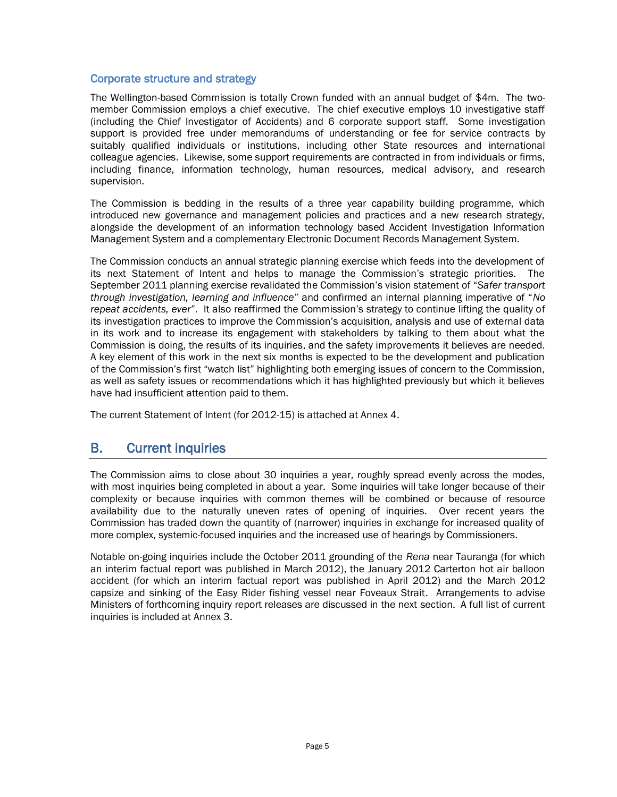#### <span id="page-4-0"></span>Corporate structure and strategy

The Wellington-based Commission is totally Crown funded with an annual budget of \$4m. The twomember Commission employs a chief executive. The chief executive employs 10 investigative staff (including the Chief Investigator of Accidents) and 6 corporate support staff. Some investigation support is provided free under memorandums of understanding or fee for service contracts by suitably qualified individuals or institutions, including other State resources and international colleague agencies. Likewise, some support requirements are contracted in from individuals or firms, including finance, information technology, human resources, medical advisory, and research supervision.

The Commission is bedding in the results of a three year capability building programme, which introduced new governance and management policies and practices and a new research strategy, alongside the development of an information technology based Accident Investigation Information Management System and a complementary Electronic Document Records Management System.

The Commission conducts an annual strategic planning exercise which feeds into the development of its next Statement of Intent and helps to manage the Commission's strategic priorities. The September 2011 planning exercise revalidated the Commission's vision statement of "*Safer transport through investigation, learning and influence*" and confirmed an internal planning imperative of "*No repeat accidents, ever*". It also reaffirmed the Commission's strategy to continue lifting the quality of its investigation practices to improve the Commission's acquisition, analysis and use of external data in its work and to increase its engagement with stakeholders by talking to them about what the Commission is doing, the results of its inquiries, and the safety improvements it believes are needed. A key element of this work in the next six months is expected to be the development and publication of the Commission's first "watch list" highlighting both emerging issues of concern to the Commission, as well as safety issues or recommendations which it has highlighted previously but which it believes have had insufficient attention paid to them.

The current Statement of Intent (for 2012-15) is attached at Annex 4.

## <span id="page-4-1"></span>B. Current inquiries

The Commission aims to close about 30 inquiries a year, roughly spread evenly across the modes, with most inquiries being completed in about a year. Some inquiries will take longer because of their complexity or because inquiries with common themes will be combined or because of resource availability due to the naturally uneven rates of opening of inquiries. Over recent years the Commission has traded down the quantity of (narrower) inquiries in exchange for increased quality of more complex, systemic-focused inquiries and the increased use of hearings by Commissioners.

Notable on-going inquiries include the October 2011 grounding of the *Rena* near Tauranga (for which an interim factual report was published in March 2012), the January 2012 Carterton hot air balloon accident (for which an interim factual report was published in April 2012) and the March 2012 capsize and sinking of the Easy Rider fishing vessel near Foveaux Strait. Arrangements to advise Ministers of forthcoming inquiry report releases are discussed in the next section. A full list of current inquiries is included at Annex 3.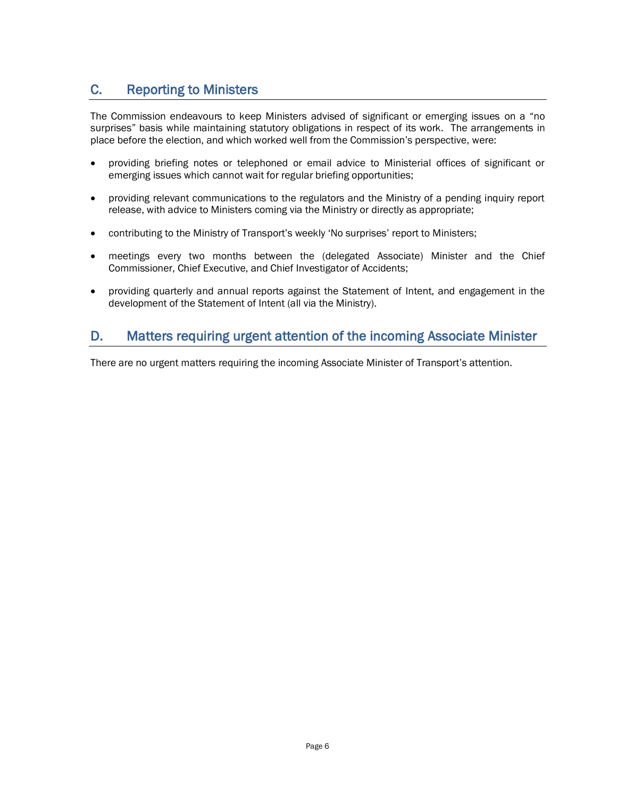## <span id="page-5-0"></span>C. Reporting to Ministers

The Commission endeavours to keep Ministers advised of significant or emerging issues on a "no surprises" basis while maintaining statutory obligations in respect of its work. The arrangements in place before the election, and which worked well from the Commission's perspective, were:

- providing briefing notes or telephoned or email advice to Ministerial offices of significant or emerging issues which cannot wait for regular briefing opportunities;
- providing relevant communications to the regulators and the Ministry of a pending inquiry report release, with advice to Ministers coming via the Ministry or directly as appropriate;
- contributing to the Ministry of Transport's weekly 'No surprises' report to Ministers;
- meetings every two months between the (delegated Associate) Minister and the Chief Commissioner, Chief Executive, and Chief Investigator of Accidents;
- providing quarterly and annual reports against the Statement of Intent, and engagement in the development of the Statement of Intent (all via the Ministry).

## <span id="page-5-1"></span>D. Matters requiring urgent attention of the incoming Associate Minister

There are no urgent matters requiring the incoming Associate Minister of Transport's attention.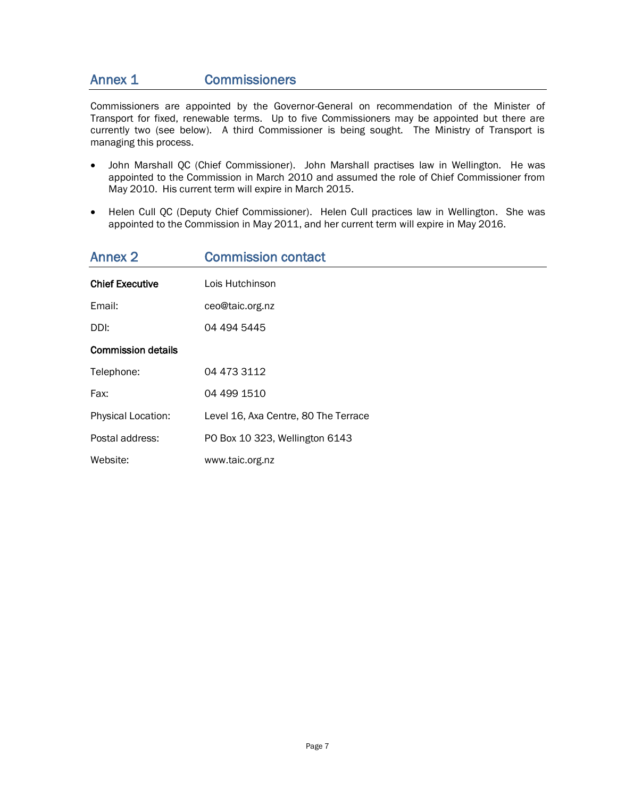#### <span id="page-6-0"></span>Annex 1 Commissioners

Commissioners are appointed by the Governor-General on recommendation of the Minister of Transport for fixed, renewable terms. Up to five Commissioners may be appointed but there are currently two (see below). A third Commissioner is being sought. The Ministry of Transport is managing this process.

- John Marshall QC (Chief Commissioner). John Marshall practises law in Wellington. He was appointed to the Commission in March 2010 and assumed the role of Chief Commissioner from May 2010. His current term will expire in March 2015.
- Helen Cull QC (Deputy Chief Commissioner). Helen Cull practices law in Wellington. She was appointed to the Commission in May 2011, and her current term will expire in May 2016.

<span id="page-6-1"></span>

| <b>Annex 2</b>            | <b>Commission contact</b>            |
|---------------------------|--------------------------------------|
| <b>Chief Executive</b>    | Lois Hutchinson                      |
| Email:                    | ceo@taic.org.nz                      |
| DDI:                      | 04 494 5445                          |
| <b>Commission details</b> |                                      |
| Telephone:                | 04 473 3112                          |
| Fax:                      | 04 499 1510                          |
| Physical Location:        | Level 16, Axa Centre, 80 The Terrace |
| Postal address:           | PO Box 10 323, Wellington 6143       |
| Website:                  | www.taic.org.nz                      |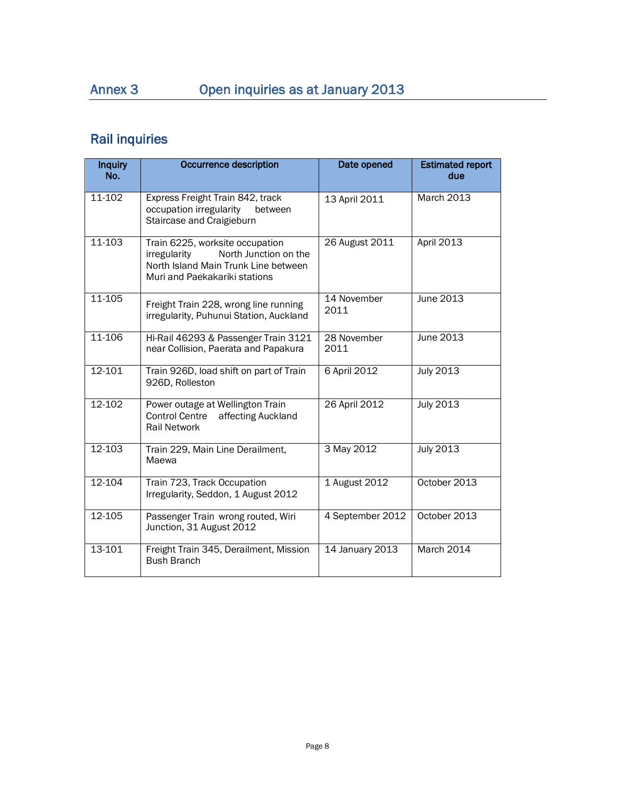# <span id="page-7-0"></span>Annex 3 Open inquiries as at January 2013

# Rail inquiries

| <b>Inquiry</b><br>No. | <b>Occurrence description</b>                                                                                                                     | Date opened         | <b>Estimated report</b><br>due |
|-----------------------|---------------------------------------------------------------------------------------------------------------------------------------------------|---------------------|--------------------------------|
| 11-102                | Express Freight Train 842, track<br>occupation irregularity<br>between<br>Staircase and Craigieburn                                               | 13 April 2011       | <b>March 2013</b>              |
| 11-103                | Train 6225, worksite occupation<br>North Junction on the<br>irregularity<br>North Island Main Trunk Line between<br>Muri and Paekakariki stations | 26 August 2011      | April 2013                     |
| 11-105                | Freight Train 228, wrong line running<br>irregularity, Puhunui Station, Auckland                                                                  | 14 November<br>2011 | <b>June 2013</b>               |
| 11-106                | Hi-Rail 46293 & Passenger Train 3121<br>near Collision, Paerata and Papakura                                                                      | 28 November<br>2011 | June 2013                      |
| 12-101                | Train 926D, load shift on part of Train<br>926D, Rolleston                                                                                        | 6 April 2012        | <b>July 2013</b>               |
| 12-102                | Power outage at Wellington Train<br><b>Control Centre</b><br>affecting Auckland<br><b>Rail Network</b>                                            | 26 April 2012       | <b>July 2013</b>               |
| 12-103                | Train 229, Main Line Derailment,<br>Maewa                                                                                                         | 3 May 2012          | <b>July 2013</b>               |
| 12-104                | Train 723, Track Occupation<br>Irregularity, Seddon, 1 August 2012                                                                                | 1 August 2012       | October 2013                   |
| 12-105                | Passenger Train wrong routed, Wiri<br>Junction, 31 August 2012                                                                                    | 4 September 2012    | October 2013                   |
| 13-101                | Freight Train 345, Derailment, Mission<br><b>Bush Branch</b>                                                                                      | 14 January 2013     | March 2014                     |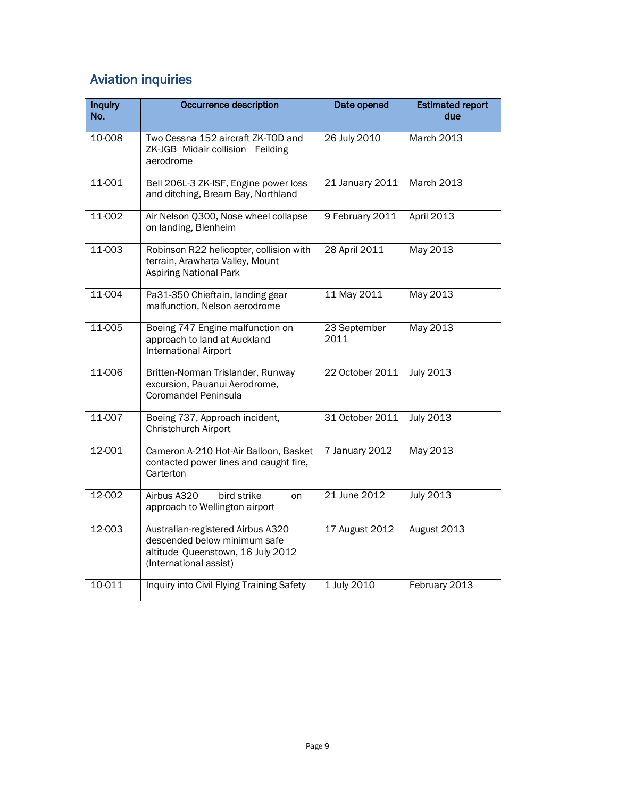# Aviation inquiries

| <b>Inquiry</b><br>No. | Occurrence description                                                                                                           | Date opened          | <b>Estimated report</b><br>due |
|-----------------------|----------------------------------------------------------------------------------------------------------------------------------|----------------------|--------------------------------|
| 10-008                | Two Cessna 152 aircraft ZK-TOD and<br>ZK-JGB Midair collision Feilding<br>aerodrome                                              | 26 July 2010         | March 2013                     |
| 11-001                | Bell 206L-3 ZK-ISF, Engine power loss<br>and ditching, Bream Bay, Northland                                                      | 21 January 2011      | March 2013                     |
| $11 - 002$            | Air Nelson Q300, Nose wheel collapse<br>on landing, Blenheim                                                                     | 9 February 2011      | April 2013                     |
| 11-003                | Robinson R22 helicopter, collision with<br>terrain, Arawhata Valley, Mount<br><b>Aspiring National Park</b>                      | 28 April 2011        | May 2013                       |
| 11-004                | Pa31-350 Chieftain, landing gear<br>malfunction, Nelson aerodrome                                                                | 11 May 2011          | May 2013                       |
| 11-005                | Boeing 747 Engine malfunction on<br>approach to land at Auckland<br><b>International Airport</b>                                 | 23 September<br>2011 | May 2013                       |
| 11-006                | Britten-Norman Trislander, Runway<br>excursion, Pauanui Aerodrome,<br>Coromandel Peninsula                                       | 22 October 2011      | <b>July 2013</b>               |
| 11-007                | Boeing 737, Approach incident,<br>Christchurch Airport                                                                           | 31 October 2011      | <b>July 2013</b>               |
| 12-001                | Cameron A-210 Hot-Air Balloon, Basket<br>contacted power lines and caught fire,<br>Carterton                                     | 7 January 2012       | May 2013                       |
| $12 - 002$            | Airbus A320<br>bird strike<br>on<br>approach to Wellington airport                                                               | 21 June 2012         | <b>July 2013</b>               |
| 12-003                | Australian-registered Airbus A320<br>descended below minimum safe<br>altitude Queenstown, 16 July 2012<br>(International assist) | 17 August 2012       | August 2013                    |
| 10-011                | Inquiry into Civil Flying Training Safety                                                                                        | 1 July 2010          | February 2013                  |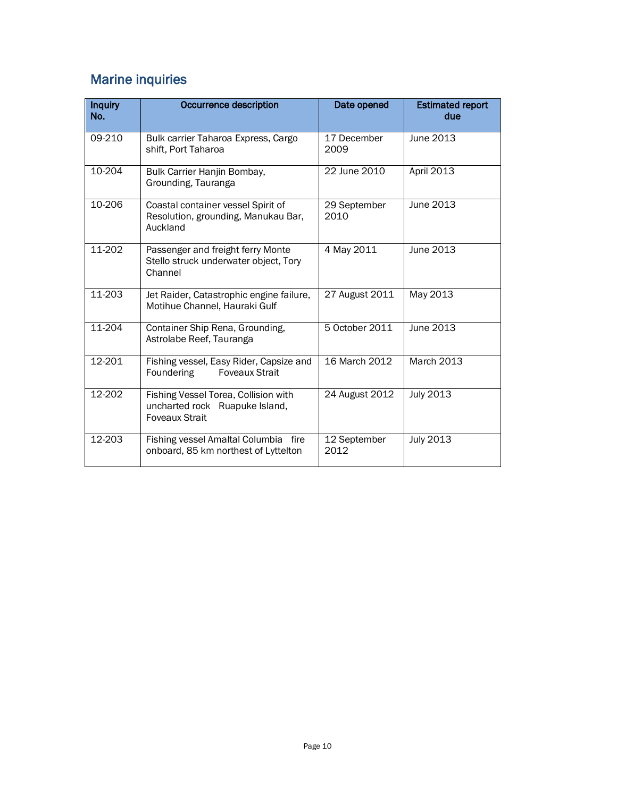# Marine inquiries

| <b>Inquiry</b><br>No. | Occurrence description                                                                   | Date opened          | <b>Estimated report</b><br>due |
|-----------------------|------------------------------------------------------------------------------------------|----------------------|--------------------------------|
| 09-210                | Bulk carrier Taharoa Express, Cargo<br>shift, Port Taharoa                               | 17 December<br>2009  | June 2013                      |
| 10-204                | Bulk Carrier Hanjin Bombay,<br>Grounding, Tauranga                                       | 22 June 2010         | April 2013                     |
| 10-206                | Coastal container vessel Spirit of<br>Resolution, grounding, Manukau Bar,<br>Auckland    | 29 September<br>2010 | June 2013                      |
| 11-202                | Passenger and freight ferry Monte<br>Stello struck underwater object, Tory<br>Channel    | 4 May 2011           | June 2013                      |
| 11-203                | Jet Raider, Catastrophic engine failure,<br>Motihue Channel, Hauraki Gulf                | 27 August 2011       | May 2013                       |
| 11-204                | Container Ship Rena, Grounding,<br>Astrolabe Reef, Tauranga                              | 5 October 2011       | June 2013                      |
| 12-201                | Fishing vessel, Easy Rider, Capsize and<br>Foundering<br><b>Foveaux Strait</b>           | 16 March 2012        | <b>March 2013</b>              |
| 12-202                | Fishing Vessel Torea, Collision with<br>uncharted rock Ruapuke Island,<br>Foveaux Strait | 24 August 2012       | July 2013                      |
| 12-203                | Fishing vessel Amaltal Columbia<br>fire<br>onboard, 85 km northest of Lyttelton          | 12 September<br>2012 | <b>July 2013</b>               |